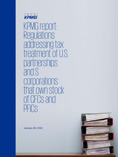

KPMG report: **Regulations** addressing tax treatment of U.S. partnerships and S corporations that own stock of CFCs and PFICS

January 28, 2022

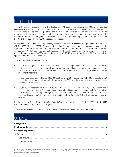## Introduction

The U.S. Treasury Department and IRS (collectively, "Treasury") on January 25, 2022, published **[final](https://www.govinfo.gov/content/pkg/FR-2022-01-25/pdf/2022-00066.pdf)  [regulations](https://www.govinfo.gov/content/pkg/FR-2022-01-25/pdf/2022-00066.pdf)** [PDF 287 KB] (T.D. 9960) (the "2022 Final Regulations") related to the treatment of domestic partnerships and S corporations that own stock of controlled foreign corporations ("CFCs") for purposes of determining amounts included in the gross income of their partners and shareholders with respect to the CFCs. The regulations finalize a portion of the proposed regulations published on June 21, 2019 (REG-101828-19) (the "2019 Proposed Regulations").

In addition to the 2022 Final Regulations, Treasury also issued **[proposed regulations](https://www.govinfo.gov/content/pkg/FR-2022-01-25/pdf/2022-00067.pdf)** [PDF 487 KB] (REG-118250-20) (the "2022 Proposed Regulations") that would provide guidance regarding the treatment of domestic partnerships and S corporations that own stock of passive foreign investment companies ("PFICs") and their domestic partners and shareholders, including for purposes of making qualified electing fund ("QEF") and mark-to-market ("MTM") elections under the PFIC rules and the application of the CFC overlap rule.

The 2022 Proposed Regulations also:

- Would provide guidance related to partnerships and S corporations for purposes of determining controlling domestic shareholders of certain foreign corporations, related person insurance income ("RPII") under section 953(c), and the election under Treas. Reg. § 1.1411-10(g) related to the net investment income tax
- Include rules described in Notice 2020-69 (2020-39 I.R.B. 604, September 1, 2020), which allow an S corporation to be treated as an entity for purposes of CFC inclusions for certain years when certain conditions are satisfied
- Include rules described in Notice 2019-46 (2019-37 I.R.B. 69, September 9, 2019), which allow domestic partnerships and S corporations to apply a hybrid aggregate-entity approach for determining GILTI inclusions under proposed regulations published in October 2018 (REG-104390-18) (the "2018 Proposed Regulations") for tax years that ended before June 22, 2019, if certain conditions are satisfied.

Finally, proposed Treas. Reg. § 1.953-3(b)(1) and (5) that was published on April 17, 1991 (56 FR 15540) is withdrawn in the 2022 Proposed Regulation.

This report provides initial impressions and observations about these final and proposed rules.

## Contents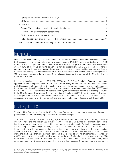## Background

United States Shareholders ("U.S. shareholders") of CFCs include in income subpart F inclusions, section 956 inclusions, and global intangible low-taxed income ("GILTI") inclusions (collectively, "CFC inclusions"). For this purpose, a U.S. shareholder generally is a U.S. person that owns under section 958 at least 10% of the value or voting power of a foreign corporation, and a CFC generally is a foreign corporation in which more than 50% of the value or voting power is owned by U.S. shareholders. Special rules for determining U.S. shareholder and CFC status apply for certain captive insurance companies. A U.S. shareholder generally determines its CFC inclusions based on the amount of the CFC that it owns under section 958(a).

Final regulations issued on June 21, 2019 (T.D. 9866) (the "GILTI Final Regulations") adopt an aggregate approach to domestic partnerships for purposes of determining the persons that must take into account a GILTI inclusion with respect to CFC stock held by a domestic partnership and any provision that applies by reference to the GILTI inclusion (such as rules on previously taxed earnings and profits ("PTEP") and basis). The GILTI Final Regulations did not follow the hybrid treatment of domestic partnerships included in the 2018 Proposed Regulations. The rules in subpart F, including GILTI, for partnerships apply equally to S corporations and their shareholders because S corporations are treated as partnerships and S corporation shareholders are treated as partners for purposes of subpart F (sections 951 through 965).

## Final regulations

The 2022 Final Regulations finalize the 2019 Proposed Regulations concerning the treatment of domestic partnerships for CFC inclusion purposes without significant changes.

The 2022 Final Regulations extend the aggregate approach adopted in the GILTI Final Regulations to subpart F inclusions and section 956 inclusions with respect to CFCs owned by a domestic partnership. For these purposes, a domestic partnership is not treated as owning stock of a foreign corporation within the meaning of section 958(a). Instead, a domestic partnership is treated in the same manner as a foreign partnership for purposes of determining the persons that own stock of a CFC under section 958(a). The effect of this rule is that a domestic partnership cannot have subpart F or section 956 inclusions. Rather, partners in a domestic partnership are treated as owning proportionately the stock of a CFC owned by the partnership, and a partner that is a U.S. shareholder with respect to the CFC determines its pro rata share of the subpart F inclusion and section 956 inclusion. As noted above, these rules also apply to S corporations and their shareholders because S corporations are treated as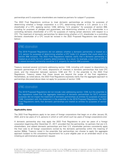partnerships and S corporation shareholders are treated as partners for subpart F purposes.

The 2022 Final Regulations continue to treat domestic partnerships as entities for purposes of determining whether a foreign corporation is a CFC, determining whether a U.S. person is a U.S. shareholder of a CFC, applying section 1248, defining "U.S. property" for purposes of section 956, including for purposes of pledges and guarantees, and determining whether a U.S. shareholder is a controlling domestic shareholder of a CFC for purposes of making certain elections with respect to a CFC. The treatment of domestic partnerships for determining whether a U.S. shareholder is a controlling domestic shareholder of a CFC would be revised in the 2022 Proposed Regulations (see discussion below).

### KPMG observation

The 2019 Proposed Regulations did not address whether a domestic partnership is treated as a U.S. person for purposes of determining whether a CFC holds U.S. property that could result in a section 956 inclusion. The 2022 Final Regulations helpfully clarify that a domestic partnership is treated as an entity for U.S. property determinations. As a result, for example, a loan from a CFC to a related domestic partnership would be U.S. property for section 956 purposes.

Treasury received several comments addressing section 1248, including with respect to dispositions by domestic partnerships of CFC stock, dispositions of interests in domestic partnerships that hold CFC stock, and the interaction between sections 1248 and 751. In the preamble to the 2022 Final Regulations, Treasury states that these issues are beyond the scope of the final regulations. Nonetheless, as noted above, the 2022 Final Regulations expressly clarify that the aggregate approach to partnerships discussed above does not apply for purposes of section 1248.

### KPMG observation

The 2019 Proposed Regulations did not include rules addressing section 1248, but the preamble to the regulations noted that the aggregate treatment of domestic partnerships for GILTI inclusion purposes did not impact the treatment of domestic partnerships as entities for purposes of section 1248. Consistent with the statement in the preamble to the 2019 Proposed Regulations, the 2022 Final Regulations clarify that domestic partnerships are treated as entities for purposes of section 1248.

#### **Applicability dates**

The 2022 Final Regulations apply to tax years of foreign corporations that begin on or after January 25, 2022, and to tax years of U.S. persons in which or with which such tax years of foreign corporations end.

A domestic partnership also may apply the 2022 Final Regulations to prior tax years of a foreign corporation beginning after December 31, 2017, provided that the partnership, its partners that are U.S. shareholders, and related domestic partnerships and their U.S. shareholder partners consistently apply the final rules to all foreign corporations owned by the domestic partnership within the meaning of section 958(a). Treasury noted in the preamble that partnerships can choose to apply the aggregate approach (subject to the consistency requirement) for a prior eligible year on an amended return or by initiating an administrative adjustment request.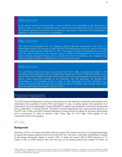### KPMG observation

In the case of widely held partnerships, it may be difficult, if not impossible, to get all partners to agree to apply the rules to pre-finalized years. Treasury acknowledges this issue in the preamble but rejected requests to eliminate the consistency requirement, noting that such requirement is important to the administration of the regulations.

### KPMG observation

The 2022 Final Regulations do not address whether domestic partnerships and their U.S. shareholder partners who choose to apply the 2022 Final Regulations to prior tax years of a foreign corporation beginning after December 31, 2017 must apply the 2022 Final Regulations to all such prior tax years consistently or can choose to apply the 2022 Final Regulations to only certain prior years. Arguably, because Treasury did not include this type of consistency rule, taxpayers may choose to apply the 2022 Final Regulations to only certain prior years.

### KPMG observation

If a partnership chooses to adjust a previously filed Form 1065, a partnership subject to the centralized partnership audit rules of the Bipartisan Budget Act of 2015 ("BBA Partnership") must use an AAR. Section 6031(b) prohibits BBA Partnerships from amending after the due date of the return, unless specifically provided by the Secretary. The IRS previously has allowed BBA Partnerships to use amended returns in order to take advantage of certain legislation (e.g., Revenue Procedure 2021-29, 2021-28, and 2020-23). Query if the IRS might consider future relief given the administratively complex nature of AARs.

## Proposed regulations

The 2022 Proposed Regulations would provide guidance on the treatment of domestic partnership and S corporations for purposes of certain PFIC and subpart F rules, including special rules applicable to S corporations that were addressed in Notice 2020-69 and special rules applicable to domestic partnerships and S corporations in Notice 2019-46. The 2022 Proposed Regulations also would provide guidance on the RPII rules. Finally, the 2022 Proposed Regulations would remove the ability for domestic partnerships and S corporations to make an election under Treas. Reg. § 1.1411-10(g), which applies for net investment income tax purposes.

### PFIC rules

#### **Background**

Generally, a PFIC is a foreign corporation that has at least 75% passive income or an average percentage of assets that produce passive income of at least 50% for a tax year. A domestic shareholder is subject to the excess distribution regime of section 1291 if it does not make a QEF or MTM election, or if it makes a QEF or MTM election after the first year of its holding period (with respect to QEFs, an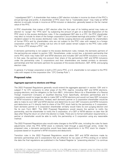"unpedigreed QEF"). A shareholder that makes a QEF election includes in income its share of the PFIC's annual earnings and profits. A shareholder of PFIC stock that is "marketable stock" may make an MTM election to annually include in income an MTM inclusion or deduction, generally based on the fair market value of the PFIC.

A PFIC shareholder that makes a QEF election after the first year of its holding period may make an election to "purge" the "PFIC taint" by subjecting the amount of gain on a deemed disposition of the PFIC stock to the excess distribution rules. If the unpedigreed QEF also is a CFC, the PFIC shareholder may elect to include its share of the foreign corporation's accumulated earnings and profits ("E&P") as a dividend subject to the excess distribution rules. Similar purging elections are available for shareholders of former PFICs and for shareholders who are not subject to the PFIC rules with respect to a foreign corporation under the CFC overlap rule but who (in both cases) remain subject to the PFIC rules under the "once a PFIC always a PFIC" rule.

A domestic partnership is not subject to the excess distribution rules; instead, the domestic partners of the partnership are subject to section 1291. Nonetheless, under current law, a domestic partnership that owns PFIC stock may make QEF and MTM elections and includes QEF and MTM inclusions in income. In that case, the partners take into account their share of the partnership's QEF and MTM inclusions under the partnership rules. S corporations and their shareholders are treated similarly to domestic partnerships and their domestic partners for purposes of the excess distribution, QEF, MTM, and purging election rules.

In general, if a foreign corporation is both a CFC and a PFIC, a U.S. shareholder is not subject to the PFIC rules with respect to the corporation (the "CFC Overlap Rule").

#### **Proposed rules**

#### **Aggregate approach to elections and filings**

The 2022 Proposed Regulations generally would extend the aggregate approach in section 1291 and in subpart F for CFC inclusions to other areas of the PFIC regime, including QEF and MTM elections, purging elections, and the obligation to file Form 8621, Information Return by a Shareholder of a Passive Foreign Investment Company or Qualified Electing Fund. Specifically, domestic partnerships and S corporations would no longer be able to make QEF or MTM elections and would not have QEF inclusions or MTM inclusions or deductions. Instead, each domestic partner or S corporation shareholder would be able to make its own QEF and MTM election and determine its own QEF inclusions and MTM inclusions and deductions as if it directly held its share of the PFIC stock held by the partnership or S corporation. Each domestic partner or S corporation shareholder similarly would make its own purging election and file its own Form 8621. The 2022 Proposed Regulations would require the partner to notify the partnership, and the shareholder to notify the S corporation, of a QEF or MTM election no later than 30 days after filing the return on which the election is made. There are no formal notification requirements; a partner or shareholder would be able to notify the partnership or S corporation using any reasonable method.

The 2022 Proposed Regulations also would make changes to the MTM rules, including the rules for basis adjustments when the PFIC MTM stock is indirectly held through a pass-through entity. Under the proposed rules, a domestic partnership would have basis adjustments in its PFIC stock for chapter 1 purposes based on its partner's MTM inclusions and deductions.

Transition rules in the 2022 Proposed Regulations would allow QEF and MTM elections made by domestic partnerships and S corporations that are effective for tax years of PFICs ending on or before the date the final regulations are published in the Federal Register (a "preexisting election") to continue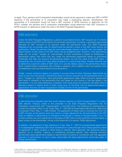to apply. Thus, partners and S corporation shareholders would not be required to make new QEF or MTM elections if the partnership or S corporation had made a preexisting election. Nonetheless, the partnership or S corporation would not have a QEF inclusion or MTM inclusion or deduction for the PFICs. Instead, the partners and S corporation shareholders would determine their QEF inclusions or MTM inclusion or deductions under the rules in the 2022 Proposed Regulations.

### KPMG observation

Under the 2022 Proposed Regulations, a partner would determine its QEF inclusion as if it directly held its share of the PFIC stock held by the domestic partnership. Currently, a domestic partnership allocates its QEF inclusion to its partners under the partnership rules. The 2022 Proposed Regulations do not provide rules for determining the partner's share of the QEF stock held by the partnership. Where the partners have the same percentage interest in profits, loss, and capital, the determination of their share of the QEF stock may be straightforward. However, most partnerships today are not simple "straight up" partnerships. If stock ownership is based on entitlement to partnership capital, that share may vary under the partnership agreement based on profit/value thresholds that take into account all partnership assets, not just the value of the QEF stock. A partnership may not have such value determinations on a year-to-year basis. Another potential way to determine a partner's share of QEF stock is to use the relative value of its partnership interest. Such a determination necessarily also includes a valuation, and in addition calls into question other considerations such as where discounts are factored in.

Finally, income inclusions based on a partner's pro-rata share of stock (however determined) are likely to vary from the partner's distributive share of income inclusions at the partnership level in all but a "straight up" partnership. Most partnership agreements today reflect economic agreements that result in interests in the partnership that vary based on net income or net loss levels in the partnership. It is very likely allocations consistent with these economic positions will differ from an allocation based on relative share of stock using value, as the latter may be determined based on appreciation that has not been recognized in taxable income of the partnership.

### KPMG observation

In discussing the proposed rules that would require a partner to notify the partnership if it made a QEF election, Treasury states in the preamble to the 2022 Proposed Regulations that the notification would assist with "tracking basis" in the QEF stock. The reference to tracking basis is unclear but possibly refers to the Treas. Reg. § 1.1291-9(f) principle-based adjustments referenced in proposed Treas. Reg. § 1.1293-1(c)(3)(i). The application of these rules is uncertain but infer that a QEF inclusion at the partner level may result in a basis adjustment by the partnership to the QEF stock (in addition to adjustments to the basis of the partner's interest in the partnership). If so, it is unclear whether any such adjustment to the basis of QEF stock would constitute common basis, or basis unique to the shareholder, similar to the treatment of a section 743(b) adjustment.

In addition, the placement of the reference to Treas. Reg. § 1.1291-(f) principle-based adjustments in a subparagraph addressing QEF stock transferred to a pass-through entity raises questions about its application in other contexts in which basis is relevant. More generally, the reference raises a question as to whether Treasury is considering providing specific rules allowing domestic partnerships basis adjustments based on partner-level inclusions in connection with the aggregate approach of partnerships. In such a case, presumably the basis adjustments would also apply to foreign partnerships.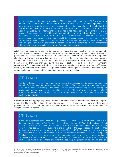A domestic partner that wants to make a QEF election with respect to a PFIC owned by a partnership will need to obtain information from the partnership that partnerships typically are not required to provide under current law. Treasury notes in the preamble that the Schedule K-2, "Partners' Distributive Share Items – International" and Schedule K-3, "Partner's Share of Income, Deductions, Credits, etc – International" are expected to facilitate a partner's ability to make a QEF election. Presumably, the partnership would be required to provide the relevant information on the Schedules K-2 and K-3 in the future if the 2022 Proposed Regulations are finalized in their current form. Treasury acknowledges that there could be practical issues with partners receiving information to make a timely QEF election when partners and partnerships have certain nonconforming tax years but indicates that the burden will be on the partner to "make arrangements with the partnership" to obtain the relevant information in a timely fashion.

Additionally, in response to comments received regarding the administrability of partner-level QEF elections, Treasury requests comments on whether the final regulations should allow a domestic partnership or S corporation to make a QEF election on behalf of its partners or S corporation shareholders. The preamble provides a detailed list of items that comments should address, including: the legal mechanism by which the domestic partnership or S corporation would make a QEF election on behalf of its partners and shareholders, whether that delegation should be based on the partnership agreement or S corporation organizational documents or some other instrument, whether a QEF election made by the domestic partnership or S corporation should be binding on all partners or shareholders, and certain the timing, filing, and notification requirements of such an election.

### KPMG observation

The detailed request for comments seems to indicate that Treasury may be concerned about the authority for a partnership to make an election for an item of income that is not a partnership item. Currently, domestic partnerships that make QEF and MTM elections arguably are making the election with respect to an item of partnership income: the QEF or MTM inclusion. Under the 2022 Proposed Regulation, the partnership would no longer have an item of income to which the election would relate.

Consistent with the aggregate approach, domestic partnerships and S corporations would no longer be required to file Form 8621. Instead, domestic partnerships and S corporations that own PFICs would provide information to their partners and shareholders to allow the partners and shareholders to complete Form 8621 for the PFIC.

### KPMG observation

In general, a domestic partnership with a pedigreed QEF election or a MTM election for a PFIC does not need to complete Part VII (Information to Complete Form 8621) of the Schedules K-2 and K-3, which is used to report PFIC information to partners, if the partnership files Form 8621 for the PFIC. As noted above, Treasury suggests in the preamble to the 2022 Proposed Regulations that domestic partnership could be required to provide QEF and MTM information to their partners on the Schedules K2 and K3 in connection with the aggregate approach in the 2022 Proposed Regulations. On balance, the increase in the domestic partnership's administrative burden of completing the PFIC information on Schedules K2 and K3, including tracking whether and which elections are made by its partners, and potentially assisting the partners in determining their pro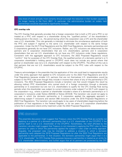rata share of stock annually most certainly should outweigh the reduction in their burden caused by no longer having to file Form 8621. In particular, the administrative burden on widely held partnerships would be expected to significantly increase.

#### **CFC overlap rule**

The CFC Overlap Rule generally provides that a foreign corporation that is both a CFC and a PFIC is not treated as a PFIC with respect to a shareholder during the "qualified portion" of the shareholder's holding period in the stock—i.e., the period during which the corporation was a CFC and the shareholder was a U.S. shareholder. This rule generally is intended to eliminate the simultaneous application of both the PFIC and subpart F regimes to the same U.S. shareholder with respect to the same foreign corporation. Under the GILTI Final Regulations and the 2022 Final Regulations, domestic partnerships and S corporations generally do not have CFC inclusions. Rather, any CFC inclusions are determined by the partners and S corporation shareholders that are U.S. shareholders; partners and S corporation shareholders that are not U.S. shareholders do not have any CFC inclusions under these regulations. Consistent with the aggregate approach to CFC Inclusions, the 2022 Proposed Regulations would "confirm" that for purposes of the CFC Overlap Rule, the qualified portion of a domestic partner's or S corporation shareholder's holding period in CFC/PFIC stock does not include any period where that partner or shareholder was not a U.S. shareholder with respect to the CFC/PFIC. The effect of this rule is that partners that are not U.S. shareholders would be subject to the PFIC rules with respect to the CFC/PFIC.

Treasury acknowledges in the preamble that the application of this rule could lead to inappropriate results under the entity approach that applied to CFC inclusions prior to the 2022 Final Regulations and GILTI Final Regulations because smaller U.S. partners that are not themselves U.S. shareholders would be subject to the PFIC rules even though they include in income their share of any of the partnership's CFC inclusions. The 2022 Proposed Regulations include a transition rule that would mitigate this result by allowing indirect PFIC shareholders who owned stock of a foreign corporation through a domestic partnership or S corporation but are not U.S. shareholders to qualify for the CFC Overlap Rule during periods when the shareholder was subject to current inclusions under subpart F or GILTI with respect to the corporation—e.g., where a partner or shareholder included a share of a domestic partnership's or S corporation's inclusions under Notice 2020-60 or Notice 2019-46. The transition rule would not apply to any year in which the domestic partnership or S corporation applied the aggregate approach in determining subpart F inclusions and section 956 inclusions under the 2019 Proposed Regulations or 2022 Final Regulations. The transition rule would apply to tax years of shareholders beginning before the publication of final regulations in the Federal Register, or for tax years of S corporation shareholders where the S corporation elects entity treatment under the 2022 Proposed Regulations.

### KPMG observation

The preamble discussion might suggest that Treasury views the CFC Overlap Rule as currently not applying to a partner of a domestic partnership that is a U.S. shareholder of the CFC/PFIC if the partner itself is not a U.S. shareholder of the CFC/PFIC. Nonetheless, the relief afforded by the transition rule also might suggest that Treasury is not interested in applying the PFIC rules to these partners for years in which the partnership applied the subpart F rules under an entity approach. Arguably, the proposed rules may be intended to address a situation in which a domestic partnership early adopted the 2019 Proposed Regulations (or after the 2022 Final Regulations are applicable to the partnership). In that situation, the domestic partnership might argue that it is a "U.S. shareholder" for CFC Overlap Rule purposes because a partnership is treated as an entity for U.S. shareholder determinations, and further argue that all its partners are protected by the CFC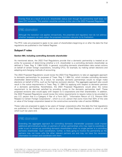Overlap Rule as a result of its U.S. shareholder status even though the partnership itself does not have CFC inclusions. This position would be contrary to the rule in the 2022 Proposed Regulation.

### KPMG observation

Although the transition rule applies retroactively, the preamble and regulatory text do not address whether taxpayers can early adopt the proposed transition rule prior to its finalization.

The PFIC rules are proposed to apply to tax years of shareholders beginning on or after the date the final regulations are published in the Federal Register.

#### **Subpart F rules**

#### **Section 964, including controlling domestic shareholder**

As mentioned above, the 2022 Final Regulations provide that a domestic partnership is treated as an entity for purposes of determining whether a U.S. shareholder is a controlling domestic shareholder as defined in Treas. Reg. § 1.964-1(c)(5). In general, controlling domestic shareholders take certain actions on behalf of certain foreign corporations, including CFCs, for example, by making certain elections and adopting and changing methods of accounting.

The 2022 Proposed Regulations would revise the 2022 Final Regulations to take an aggregate approach to domestic partnerships for purposes of Treas. Reg. § 1.964-1(c), which includes controlling domestic shareholder determinations. As a result, for example, domestic partnerships would no longer make elections on behalf of CFCs, such as the high-tax exclusion election. The aggregate approach also would result in the notice requirements in Treas. Reg. § 1.964-1(c) applying with respect to domestic partners of a domestic partnership. Nonetheless, the 2022 Proposed Regulations would allow the notice requirement to be deemed satisfied by providing notice to the domestic partnership itself. These proposed revisions also would apply with respect to S corporations and their shareholders. In addition, the 2022 Proposed Regulations would revise the notice requirements to require notice to be provided to any U.S. person that is a Category 4 filer of a Form 5471, "Information Return of U.S. Persons With Respect to Certain Foreign Corporations", which is a U.S. person that owns more than 50% of the vote or value of the foreign corporation based on the constructive ownership rules of section 6038(e).

These rules are proposed to apply to tax years of foreign corporations after the date the final regulations are published in the Federal Register, and to tax years of United States shareholders in which or with which such tax years end.

### KPMG observation

Extending the aggregate approach for controlling domestic shareholder purposes could impose additional administrative burden on partners of certain partnerships who may need to coordinate in order to act in concert as controlling domestic shareholders when no single partner is a controlling domestic shareholder. Such coordination, further, is likely going to involve the partnership as the partners may not know who the other relevant partners are and may not have the necessary information to contact and coordinate with them.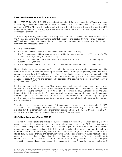#### **Elective entity treatment for S corporations**

Notice 2020-69, 2020-39 I.R.B. 604, released on September 1, 2020, announced that Treasury intended to issue regulations under section 958 to ease the transition of S corporations with accumulated earning and profits ("AE&P"), from the historic entity treatment (and the hybrid treatment under the 2019 Proposed Regulations) to the aggregate treatment required under the GILTI Final Regulations (the "S corporation transition approach").

The 2022 Proposed Regulations would fully adopt the S corporation transition approach, as described in the Notice, and extend the treatment to potential subpart F and section 956 inclusions, in addition to GILTI inclusions. Under the approach in the proposed rules, an S corporation would be subject to entity treatment with respect to a tax year if:

- An election is made;
- The corporation has elected S corporation status before June 22, 2019;
- The S corporation would be treated as owning, within the meaning of section 958(a), stock of a CFC on June 22, 2019, if entity treatment applied;
- The S corporation has "transition AE&P" on September 1, 2020, or on the first day of any subsequent tax year; and
- The S corporation maintains records to support the determination of the transition AE&P amount.

Under this elective entity treatment, an S corporation that owns stock of a foreign corporation would be treated as owning, within the meaning of section 958(a), a foreign corporation, such that the S corporation would have CFC inclusions. The effect of the election would be to treat an applicable CFC inclusion as an item of income of the S corporation itself, increasing the S corporation's accumulated adjustment account ("AAA"), and consequently, decreasing the potential for a taxable distribution out of the S corporation's AE&P.

For this purpose, the term transition AE&P would mean, with respect to an S corporation and its shareholders, the amount of AE&P of the S corporation calculated as of September 1, 2020, reduced solely by subsequent distributions out of AE&P after September 1, 2020. Generally, under the 2022 Proposed Regulations, an electing S corporation would be treated as an entity under the S corporation transition approach until the first tax year for which it has no transition AE&P on the first day of that year, at which point the S corporation would be treated as an aggregate of its shareholders for that year and each successive year.

The rule is proposed to apply to tax years of S corporations that end on or after September 1, 2020. Taxpayers can choose to apply the rule to tax years of S corporations ending on or after June 22, 2019, provided that the S corporation and its shareholders consistently apply the rules with respect to all CFCs whose stock the S corporation owns within the meaning of section 958(a).

#### **GILTI: Hybrid approach/Notice 2019-46**

The 2022 Proposed Regulations include the rules described in Notice 2019-46, which generally allowed domestic partnerships and S corporations to choose to be treated as entities for GILTI inclusion purposes for tax years ending before June 22, 2019, if certain requirements were satisfied. The notification requirements described in Notice 2019-46 that must be satisfied for entity treatment to apply are included in the 2022 Proposed Regulations without substantial change. For example, as described in Notice 2019-46, the partnership or S corporation would have had to provide the required notification to its partners or shareholders no later than the due date (with extensions) for the partnership or S corporation's last tax year that ended before June 22, 2019, for entity treatment to apply for the year. The 2022 Proposed Regulations include the requirement in the Notice for the partnership or S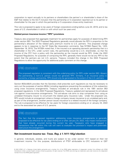corporation to report annually to its partners or shareholders the partner's or shareholder's share of the E&P that relates to the GILTI inclusion that the partnership or S corporation reported out to its partner or shareholder for the year in which the partnership or S corporation chose entity treatment.

This rule is proposed to apply to tax years of foreign corporations ending before June 22, 2019, and to tax years of U.S. shareholders in which or with which such tax years end.

#### **Related person insurance income ("RPII") provisions**

Treasury also proposed that aggregate treatment for partnerships apply for purposes of determining RPII under section 953. The 2022 Proposed Regulations generally would allocate the RPII in proportion to the partnership's allocation of the related party premium income to U.S. partners. This proposed change appears to be in response to the NY State Bar Association comments. See NYSBA Report No. 1423, September 18, 2019. The NYSBA noted that, if the insured is an operating domestic partnership that is a shareholder in the CFC, under current rules, the partnership would be a U.S. shareholder, so that the income of the CFC from a policy with the partnership as the insured would be RPII. Under the 2022 Proposed Regulations, for purposes of computing the RPII, generally there would not be any RPII to the extent that the partners are not U.S. persons. Treasury included this change in the 2022 Proposed Regulations to allow the opportunity for additional public comment on this change.

### KPMG observation

The proposed regulation is consistent with the underlying policy for RPII under section 953. Absent the partnership, a non-U.S. person would not generate RPII. Similarly, if an insurance policy is owned by a foreign partnership, RPII should only be generated to the extent of the U.S. partners.

Section 953(c)(8)(A) provides that the Secretary shall prescribe such regulations as may be necessary to carry out the purposes of section 953(c) including regulations preventing the avoidance of this subsection using cross insurance arrangements. Treasury included an anti-abuse rule in the 1991 section 953 proposed regulations. In the 2022 Proposed Regulations, Treasury updated and reproposed its anti-abuse rule against cross-insurance arrangements. This anti-abuse rule aims to stop companies from using an unrelated third-party insurer to circumvent the related party insurance rules. Under the proposed rule, RPII would include an arrangement where a foreign company issues insurance to an unrelated party and, as part of the arrangement, another person issues insurance to a related insured of the foreign company. The rule is proposed to be effective for tax years for foreign corporations ending on or January 24, 2022 and to the associated tax years of U.S. persons.

### KPMG observation

The fact that the proposed regulation addressing cross insurance arrangements is generally proposed to be effective for tax years ending on or after January 24, 2022, may impact transactions that have already occurred during the current tax year. Taxpayers who have engaged in transactions that fall within this rule will want to evaluate the provision's impact and potentially restructure the arrangement.

#### **Net investment income tax: Treas. Reg.** *§* **1.1411-10(g) election**

In general, individuals, estates, and trusts are subject to tax under section 1411 based on their net investment income. For this purpose, distributions of PTEP attributable to CFC inclusions or QEF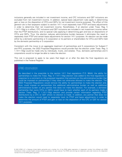inclusions generally are included in net investment income, and CFC inclusions and QEF inclusions are excluded from net investment income. In addition, special basis adjustment rules apply in determining gain or loss on the disposition of CFCs and QEFs for net investment income purposes. The effect of this general rule is that taxpayers subject to section 1411 must separately track PTEP and basis adjustments in order to determine their net investment income. Nonetheless, if an election under Treas. Reg. § 1.1411-10(g) is in effect, CFC inclusions and QEF inclusions are included in net investment income rather than the PTEP distributions, and no special rules applying in determining gain and loss on dispositions of CFCs and QEFs. Thus, the election reduces administrative burden because it eliminates the need to separately track PTEP and certain basis adjustments for section 1411 purposes. An election can be made either by a domestic partnership or S corporation or its partners or shareholders for CFCs and QEFs held by the domestic partnership or S corporation.

Consistent with the move to an aggregate treatment of partnerships and S corporations for Subpart F and PFIC purposes, the 2022 Proposed Regulations would provide that the election under Treas. Reg. § 1.1411-10(g) could be made only by individuals, trusts, and estates. Thus, domestic partnerships and S corporations would no longer be able to make the election.

This rule is proposed to apply to tax years that begin on or after the date the final regulations are published in the Federal Register.

### KPMG observation

As described in the preamble to the section 1411 final regulations (T.D. 9644), the ability for partnerships to make the Treas. Reg. § 1.1411-10(g) election was added to the final regulations in response to a comment on the proposed regulation that pointed out the administrative burden that could be imposed on partnerships if they were not otherwise allowed to make the election. The 2022 Proposed Regulations would remove the ability for partnerships to make the election and, thus, could impose on partnerships this additional administrative burden as well as additional administrative burden on any partner that does not make the election. For example, a domestic partnership that owns CFCs or QEFs would have to track whether each of its partners made a section Treas. Reg. § 1.1411-10(g) election and provide certain information regarding PTEP distributions by a CFC or QEF where no election is made. In addition, any partner that does not make the election would need to separately track its PTEP and basis adjustments in order to determine the amount of PTEP and gain or loss on the disposition of the CFC or QEF for section 1411 purposes.